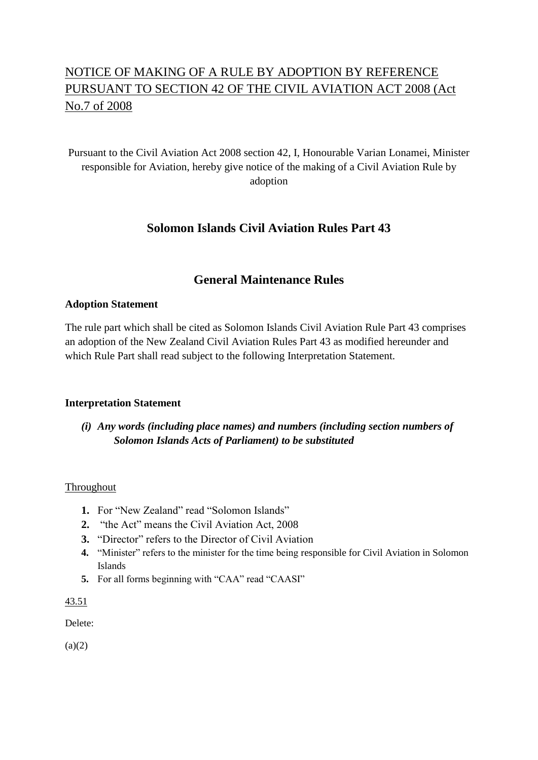# NOTICE OF MAKING OF A RULE BY ADOPTION BY REFERENCE PURSUANT TO SECTION 42 OF THE CIVIL AVIATION ACT 2008 (Act No.7 of 2008

# Pursuant to the Civil Aviation Act 2008 section 42, I, Honourable Varian Lonamei, Minister responsible for Aviation, hereby give notice of the making of a Civil Aviation Rule by adoption

# **Solomon Islands Civil Aviation Rules Part 43**

# **General Maintenance Rules**

#### **Adoption Statement**

The rule part which shall be cited as Solomon Islands Civil Aviation Rule Part 43 comprises an adoption of the New Zealand Civil Aviation Rules Part 43 as modified hereunder and which Rule Part shall read subject to the following Interpretation Statement.

#### **Interpretation Statement**

# *(i) Any words (including place names) and numbers (including section numbers of Solomon Islands Acts of Parliament) to be substituted*

#### **Throughout**

- 1. For "New Zealand" read "Solomon Islands"
- **2.** "the Act" means the Civil Aviation Act, 2008
- **3.** "Director" refers to the Director of Civil Aviation
- **4.** "Minister" refers to the minister for the time being responsible for Civil Aviation in Solomon Islands
- **5.** For all forms beginning with "CAA" read "CAASI"

43.51

Delete:

 $(a)(2)$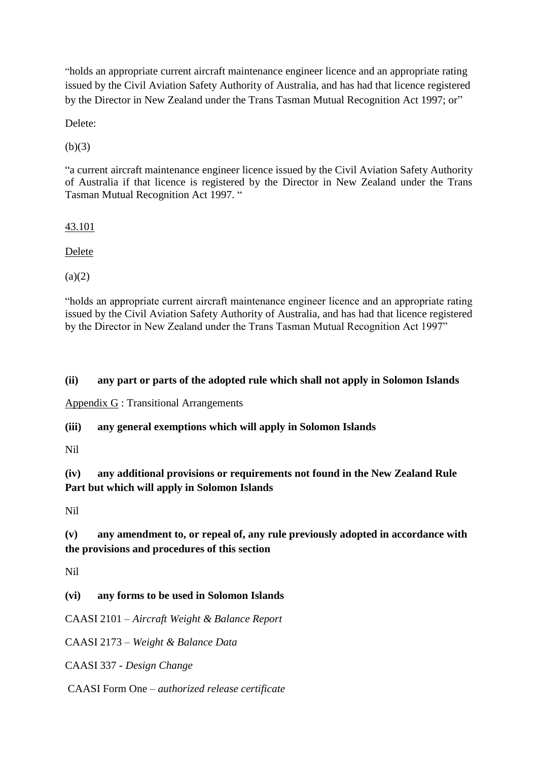"holds an appropriate current aircraft maintenance engineer licence and an appropriate rating issued by the Civil Aviation Safety Authority of Australia, and has had that licence registered by the Director in New Zealand under the Trans Tasman Mutual Recognition Act 1997; or"

Delete<sup>.</sup>

 $(b)(3)$ 

"a current aircraft maintenance engineer licence issued by the Civil Aviation Safety Authority of Australia if that licence is registered by the Director in New Zealand under the Trans Tasman Mutual Recognition Act 1997. "

43.101

Delete

 $(a)(2)$ 

"holds an appropriate current aircraft maintenance engineer licence and an appropriate rating issued by the Civil Aviation Safety Authority of Australia, and has had that licence registered by the Director in New Zealand under the Trans Tasman Mutual Recognition Act 1997"

# **(ii) any part or parts of the adopted rule which shall not apply in Solomon Islands**

Appendix G : Transitional Arrangements

**(iii) any general exemptions which will apply in Solomon Islands**

Nil

**(iv) any additional provisions or requirements not found in the New Zealand Rule Part but which will apply in Solomon Islands**

Nil

**(v) any amendment to, or repeal of, any rule previously adopted in accordance with the provisions and procedures of this section**

Nil

**(vi) any forms to be used in Solomon Islands**

CAASI 2101 – *Aircraft Weight & Balance Report*

CAASI 2173 – *Weight & Balance Data*

CAASI 337 - *Design Change*

CAASI Form One *– authorized release certificate*